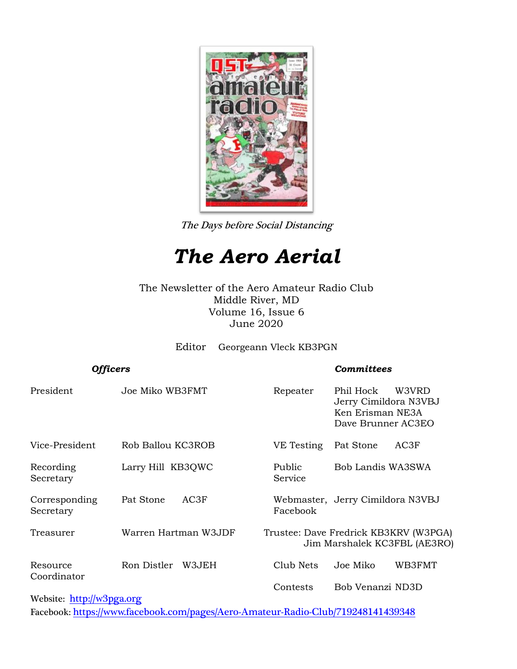

The Days before Social Distancing

# *The Aero Aerial*

The Newsletter of the Aero Amateur Radio Club Middle River, MD Volume 16, Issue 6 June 2020

Editor Georgeann Vleck KB3PGN

| <b>Officers</b>            |                      | <b>Committees</b>                                                     |                                                                                       |  |
|----------------------------|----------------------|-----------------------------------------------------------------------|---------------------------------------------------------------------------------------|--|
| President                  | Joe Miko WB3FMT      | Repeater                                                              | Phil Hock<br>W3VRD<br>Jerry Cimildora N3VBJ<br>Ken Erisman NE3A<br>Dave Brunner AC3EO |  |
| Vice-President             | Rob Ballou KC3ROB    | VE Testing                                                            | AC3F<br>Pat Stone                                                                     |  |
| Recording<br>Secretary     | Larry Hill KB3QWC    | Public<br>Service                                                     | Bob Landis WA3SWA                                                                     |  |
| Corresponding<br>Secretary | AC3F<br>Pat Stone    | Facebook                                                              | Webmaster, Jerry Cimildora N3VBJ                                                      |  |
| Treasurer                  | Warren Hartman W3JDF | Trustee: Dave Fredrick KB3KRV (W3PGA)<br>Jim Marshalek KC3FBL (AE3RO) |                                                                                       |  |
| Resource<br>Coordinator    | Ron Distler<br>W3JEH | Club Nets                                                             | Joe Miko<br>WB3FMT                                                                    |  |
|                            |                      | Contests                                                              | Bob Venanzi ND3D                                                                      |  |
| Website: http://w3pga.org  |                      |                                                                       |                                                                                       |  |

Facebook: <https://www.facebook.com/pages/Aero-Amateur-Radio-Club/719248141439348>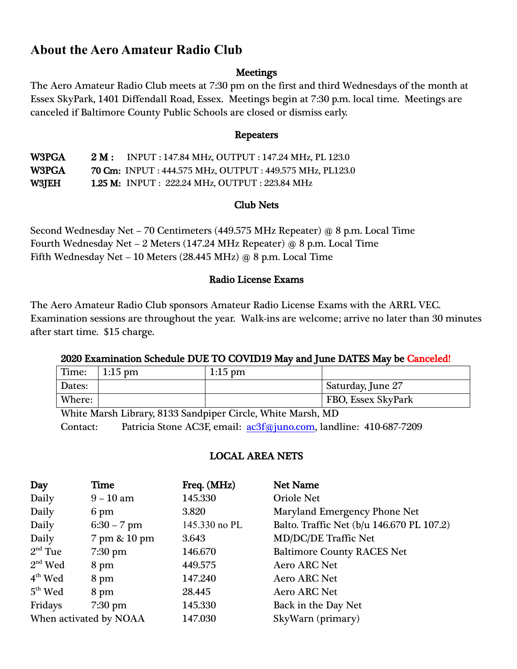## **About the Aero Amateur Radio Club**

## **Meetings**

The Aero Amateur Radio Club meets at 7:30 pm on the first and third Wednesdays of the month at Essex SkyPark, 1401 Diffendall Road, Essex. Meetings begin at 7:30 p.m. local time. Meetings are canceled if Baltimore County Public Schools are closed or dismiss early.

#### Repeaters

W3PGA 2 M : INPUT : 147.84 MHz, OUTPUT : 147.24 MHz, PL 123.0 W3PGA 70 Cm: INPUT : 444.575 MHz, OUTPUT : 449.575 MHz, PL123.0 W3JEH 1.25 M: INPUT : 222.24 MHz, OUTPUT : 223.84 MHz

## Club Nets

Second Wednesday Net – 70 Centimeters (449.575 MHz Repeater) @ 8 p.m. Local Time Fourth Wednesday Net – 2 Meters (147.24 MHz Repeater) @ 8 p.m. Local Time Fifth Wednesday Net – 10 Meters (28.445 MHz) @ 8 p.m. Local Time

## Radio License Exams

The Aero Amateur Radio Club sponsors Amateur Radio License Exams with the ARRL VEC. Examination sessions are throughout the year. Walk-ins are welcome; arrive no later than 30 minutes after start time. \$15 charge.

## 2020 Examination Schedule DUE TO COVID19 May and June DATES May be Canceled!

| Time:  | $1:15$ pm | $1:15$ pm |                    |
|--------|-----------|-----------|--------------------|
| Dates: |           |           | Saturday, June 27  |
| Where: |           |           | FBO, Essex SkyPark |

White Marsh Library, 8133 Sandpiper Circle, White Marsh, MD Contact: Patricia Stone AC3F, email: [ac3f@juno.com,](mailto:ac3f@juno.com) landline: 410-687-7209

## LOCAL AREA NETS

| Day                    | Time              | Freq. (MHz)   | <b>Net Name</b>                           |
|------------------------|-------------------|---------------|-------------------------------------------|
| Daily                  | $9 - 10$ am       | 145.330       | <b>Oriole Net</b>                         |
| Daily                  | 6 pm              | 3.820         | Maryland Emergency Phone Net              |
| Daily                  | $6:30 - 7$ pm     | 145.330 no PL | Balto. Traffic Net (b/u 146.670 PL 107.2) |
| Daily                  | 7 pm & 10 pm      | 3.643         | <b>MD/DC/DE Traffic Net</b>               |
| $2nd$ Tue              | $7:30$ pm         | 146.670       | <b>Baltimore County RACES Net</b>         |
| $2nd$ Wed              | 8 pm              | 449.575       | Aero ARC Net                              |
| $4th$ Wed              | 8 pm              | 147.240       | <b>Aero ARC Net</b>                       |
| $5th$ Wed              | 8 pm              | 28.445        | <b>Aero ARC Net</b>                       |
| Fridays                | $7:30 \text{ pm}$ | 145.330       | Back in the Day Net                       |
| When activated by NOAA |                   | 147.030       | SkyWarn (primary)                         |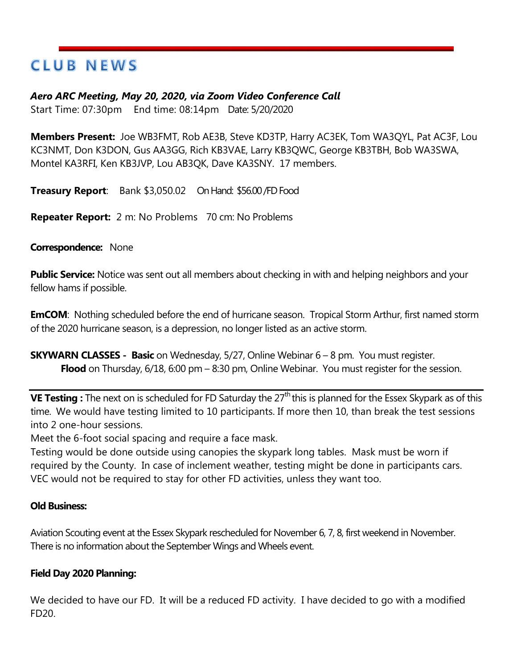## **CLUB NEWS**

## *Aero ARC Meeting, May 20, 2020, via Zoom Video Conference Call*

Start Time: 07:30pm End time: 08:14pm Date: 5/20/2020

**Members Present:** Joe WB3FMT, Rob AE3B, Steve KD3TP, Harry AC3EK, Tom WA3QYL, Pat AC3F, Lou KC3NMT, Don K3DON, Gus AA3GG, Rich KB3VAE, Larry KB3QWC, George KB3TBH, Bob WA3SWA, Montel KA3RFI, Ken KB3JVP, Lou AB3QK, Dave KA3SNY. 17 members.

**Treasury Report**: Bank \$3,050.02 On Hand: \$56.00 /FD Food

**Repeater Report:** 2 m: No Problems 70 cm: No Problems

## **Correspondence:** None

**Public Service:** Notice was sent out all members about checking in with and helping neighbors and your fellow hams if possible.

**EmCOM:** Nothing scheduled before the end of hurricane season. Tropical Storm Arthur, first named storm of the 2020 hurricane season, is a depression, no longer listed as an active storm.

**SKYWARN CLASSES - Basic** on Wednesday, 5/27, Online Webinar 6 – 8 pm. You must register. **Flood** on Thursday, 6/18, 6:00 pm – 8:30 pm, Online Webinar. You must register for the session.

**VE Testing** : The next on is scheduled for FD Saturday the 27<sup>th</sup> this is planned for the Essex Skypark as of this time. We would have testing limited to 10 participants. If more then 10, than break the test sessions into 2 one-hour sessions.

Meet the 6-foot social spacing and require a face mask.

Testing would be done outside using canopies the skypark long tables. Mask must be worn if required by the County. In case of inclement weather, testing might be done in participants cars. VEC would not be required to stay for other FD activities, unless they want too.

## **Old Business:**

Aviation Scouting event at the Essex Skypark rescheduled for November 6, 7, 8, first weekend in November. There is no information about the September Wings and Wheels event.

## **Field Day 2020 Planning:**

We decided to have our FD. It will be a reduced FD activity. I have decided to go with a modified FD20.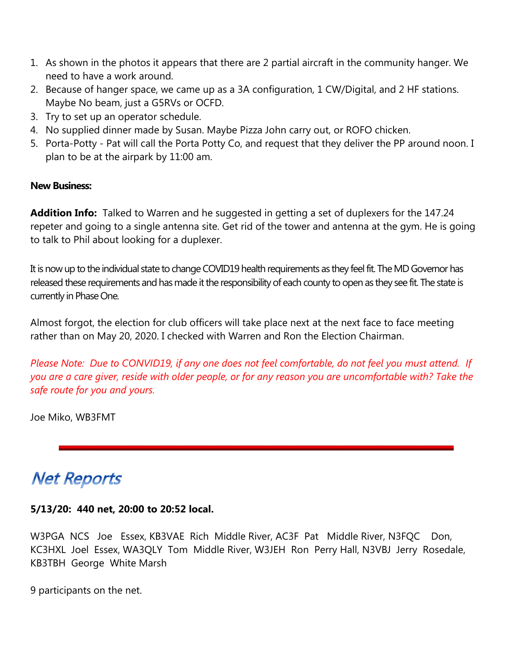- 1. As shown in the photos it appears that there are 2 partial aircraft in the community hanger. We need to have a work around.
- 2. Because of hanger space, we came up as a 3A configuration, 1 CW/Digital, and 2 HF stations. Maybe No beam, just a G5RVs or OCFD.
- 3. Try to set up an operator schedule.
- 4. No supplied dinner made by Susan. Maybe Pizza John carry out, or ROFO chicken.
- 5. Porta-Potty Pat will call the Porta Potty Co, and request that they deliver the PP around noon. I plan to be at the airpark by 11:00 am.

## **New Business:**

**Addition Info:** Talked to Warren and he suggested in getting a set of duplexers for the 147.24 repeter and going to a single antenna site. Get rid of the tower and antenna at the gym. He is going to talk to Phil about looking for a duplexer.

It is now up to the individual state to change COVID19 health requirements as they feel fit. The MD Governor has released these requirements and has made it the responsibility of each county to open as they see fit. The state is currently in Phase One.

Almost forgot, the election for club officers will take place next at the next face to face meeting rather than on May 20, 2020. I checked with Warren and Ron the Election Chairman.

*Please Note: Due to CONVID19, if any one does not feel comfortable, do not feel you must attend. If you are a care giver, reside with older people, or for any reason you are uncomfortable with? Take the safe route for you and yours.*

Joe Miko, WB3FMT

## **Net Reports**

## **5/13/20: 440 net, 20:00 to 20:52 local.**

W3PGA NCS Joe Essex, KB3VAE Rich Middle River, AC3F Pat Middle River, N3FQC Don, KC3HXL Joel Essex, WA3QLY Tom Middle River, W3JEH Ron Perry Hall, N3VBJ Jerry Rosedale, KB3TBH George White Marsh

9 participants on the net.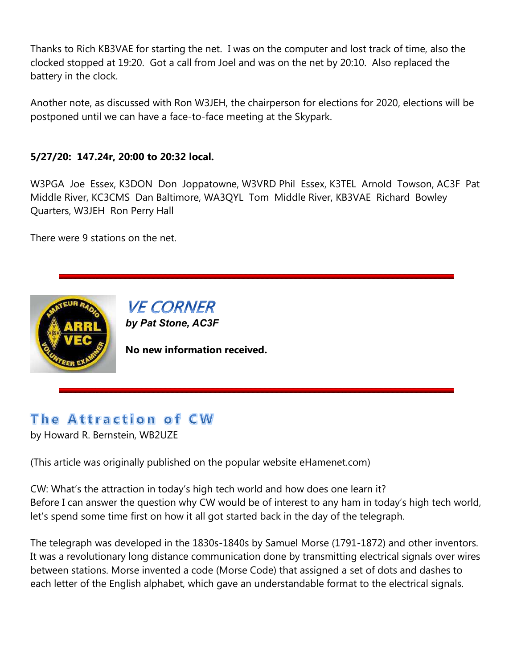Thanks to Rich KB3VAE for starting the net. I was on the computer and lost track of time, also the clocked stopped at 19:20. Got a call from Joel and was on the net by 20:10. Also replaced the battery in the clock.

Another note, as discussed with Ron W3JEH, the chairperson for elections for 2020, elections will be postponed until we can have a face-to-face meeting at the Skypark.

## **5/27/20: 147.24r, 20:00 to 20:32 local.**

W3PGA Joe Essex, K3DON Don Joppatowne, W3VRD Phil Essex, K3TEL Arnold Towson, AC3F Pat Middle River, KC3CMS Dan Baltimore, WA3QYL Tom Middle River, KB3VAE Richard Bowley Quarters, W3JEH Ron Perry Hall

There were 9 stations on the net.



**VE CORNER** *by Pat Stone, AC3F*

**No new information received.**

## The Attraction of CW

by Howard R. Bernstein, WB2UZE

(This article was originally published on the popular website eHamenet.com)

CW: What's the attraction in today's high tech world and how does one learn it? Before I can answer the question why CW would be of interest to any ham in today's high tech world, let's spend some time first on how it all got started back in the day of the telegraph.

The telegraph was developed in the 1830s-1840s by Samuel Morse (1791-1872) and other inventors. It was a revolutionary long distance communication done by transmitting electrical signals over wires between stations. Morse invented a code (Morse Code) that assigned a set of dots and dashes to each letter of the English alphabet, which gave an understandable format to the electrical signals.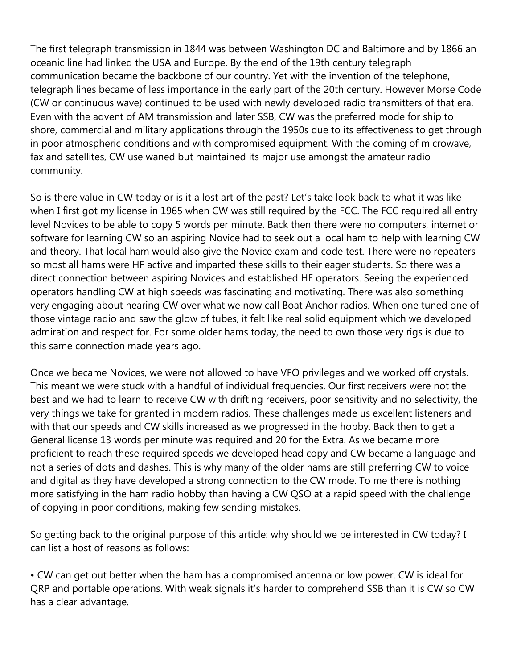The first telegraph transmission in 1844 was between Washington DC and Baltimore and by 1866 an oceanic line had linked the USA and Europe. By the end of the 19th century telegraph communication became the backbone of our country. Yet with the invention of the telephone, telegraph lines became of less importance in the early part of the 20th century. However Morse Code (CW or continuous wave) continued to be used with newly developed radio transmitters of that era. Even with the advent of AM transmission and later SSB, CW was the preferred mode for ship to shore, commercial and military applications through the 1950s due to its effectiveness to get through in poor atmospheric conditions and with compromised equipment. With the coming of microwave, fax and satellites, CW use waned but maintained its major use amongst the amateur radio community.

So is there value in CW today or is it a lost art of the past? Let's take look back to what it was like when I first got my license in 1965 when CW was still required by the FCC. The FCC required all entry level Novices to be able to copy 5 words per minute. Back then there were no computers, internet or software for learning CW so an aspiring Novice had to seek out a local ham to help with learning CW and theory. That local ham would also give the Novice exam and code test. There were no repeaters so most all hams were HF active and imparted these skills to their eager students. So there was a direct connection between aspiring Novices and established HF operators. Seeing the experienced operators handling CW at high speeds was fascinating and motivating. There was also something very engaging about hearing CW over what we now call Boat Anchor radios. When one tuned one of those vintage radio and saw the glow of tubes, it felt like real solid equipment which we developed admiration and respect for. For some older hams today, the need to own those very rigs is due to this same connection made years ago.

Once we became Novices, we were not allowed to have VFO privileges and we worked off crystals. This meant we were stuck with a handful of individual frequencies. Our first receivers were not the best and we had to learn to receive CW with drifting receivers, poor sensitivity and no selectivity, the very things we take for granted in modern radios. These challenges made us excellent listeners and with that our speeds and CW skills increased as we progressed in the hobby. Back then to get a General license 13 words per minute was required and 20 for the Extra. As we became more proficient to reach these required speeds we developed head copy and CW became a language and not a series of dots and dashes. This is why many of the older hams are still preferring CW to voice and digital as they have developed a strong connection to the CW mode. To me there is nothing more satisfying in the ham radio hobby than having a CW QSO at a rapid speed with the challenge of copying in poor conditions, making few sending mistakes.

So getting back to the original purpose of this article: why should we be interested in CW today? I can list a host of reasons as follows:

• CW can get out better when the ham has a compromised antenna or low power. CW is ideal for QRP and portable operations. With weak signals it's harder to comprehend SSB than it is CW so CW has a clear advantage.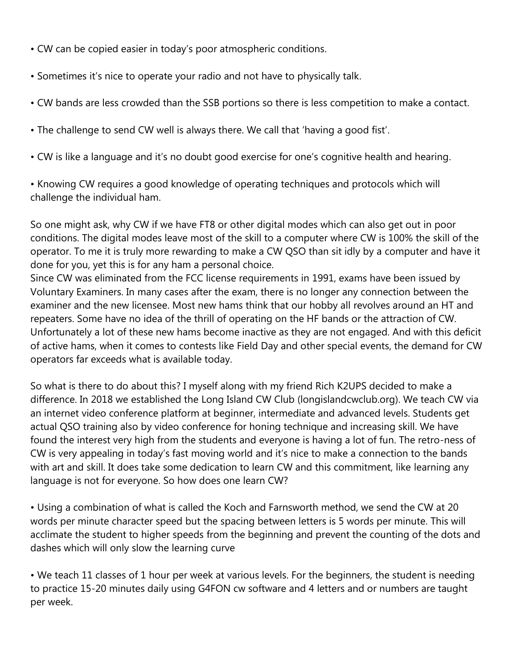- CW can be copied easier in today's poor atmospheric conditions.
- Sometimes it's nice to operate your radio and not have to physically talk.
- CW bands are less crowded than the SSB portions so there is less competition to make a contact.
- The challenge to send CW well is always there. We call that 'having a good fist'.
- CW is like a language and it's no doubt good exercise for one's cognitive health and hearing.
- Knowing CW requires a good knowledge of operating techniques and protocols which will challenge the individual ham.

So one might ask, why CW if we have FT8 or other digital modes which can also get out in poor conditions. The digital modes leave most of the skill to a computer where CW is 100% the skill of the operator. To me it is truly more rewarding to make a CW QSO than sit idly by a computer and have it done for you, yet this is for any ham a personal choice.

Since CW was eliminated from the FCC license requirements in 1991, exams have been issued by Voluntary Examiners. In many cases after the exam, there is no longer any connection between the examiner and the new licensee. Most new hams think that our hobby all revolves around an HT and repeaters. Some have no idea of the thrill of operating on the HF bands or the attraction of CW. Unfortunately a lot of these new hams become inactive as they are not engaged. And with this deficit of active hams, when it comes to contests like Field Day and other special events, the demand for CW operators far exceeds what is available today.

So what is there to do about this? I myself along with my friend Rich K2UPS decided to make a difference. In 2018 we established the Long Island CW Club (longislandcwclub.org). We teach CW via an internet video conference platform at beginner, intermediate and advanced levels. Students get actual QSO training also by video conference for honing technique and increasing skill. We have found the interest very high from the students and everyone is having a lot of fun. The retro-ness of CW is very appealing in today's fast moving world and it's nice to make a connection to the bands with art and skill. It does take some dedication to learn CW and this commitment, like learning any language is not for everyone. So how does one learn CW?

• Using a combination of what is called the Koch and Farnsworth method, we send the CW at 20 words per minute character speed but the spacing between letters is 5 words per minute. This will acclimate the student to higher speeds from the beginning and prevent the counting of the dots and dashes which will only slow the learning curve

• We teach 11 classes of 1 hour per week at various levels. For the beginners, the student is needing to practice 15-20 minutes daily using G4FON cw software and 4 letters and or numbers are taught per week.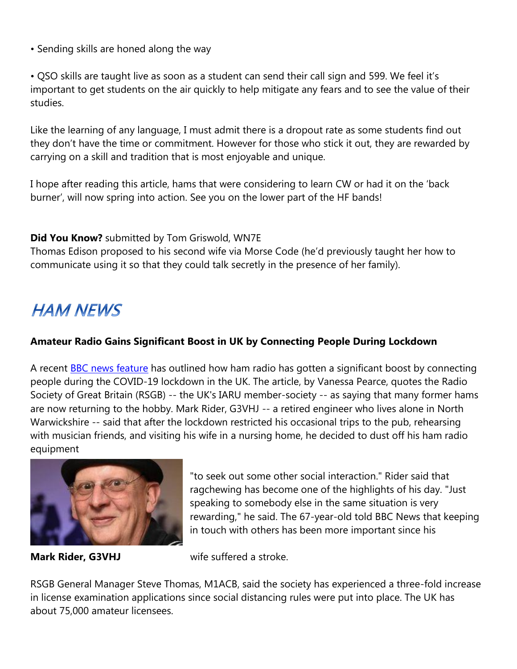• Sending skills are honed along the way

• QSO skills are taught live as soon as a student can send their call sign and 599. We feel it's important to get students on the air quickly to help mitigate any fears and to see the value of their studies.

Like the learning of any language, I must admit there is a dropout rate as some students find out they don't have the time or commitment. However for those who stick it out, they are rewarded by carrying on a skill and tradition that is most enjoyable and unique.

I hope after reading this article, hams that were considering to learn CW or had it on the 'back burner', will now spring into action. See you on the lower part of the HF bands!

## **Did You Know?** submitted by Tom Griswold, WN7E

Thomas Edison proposed to his second wife via Morse Code (he'd previously taught her how to communicate using it so that they could talk secretly in the presence of her family).

# **HAM NEWS**

## **Amateur Radio Gains Significant Boost in UK by Connecting People During Lockdown**

A recent **BBC** news feature has outlined how ham radio has gotten a significant boost by connecting people during the COVID-19 lockdown in the UK. The article, by Vanessa Pearce, quotes the Radio Society of Great Britain (RSGB) -- the UK's IARU member-society -- as saying that many former hams are now returning to the hobby. Mark Rider, G3VHJ -- a retired engineer who lives alone in North Warwickshire -- said that after the lockdown restricted his occasional trips to the pub, rehearsing with musician friends, and visiting his wife in a nursing home, he decided to dust off his ham radio equipment



"to seek out some other social interaction." Rider said that ragchewing has become one of the highlights of his day. "Just speaking to somebody else in the same situation is very rewarding," he said. The 67-year-old told BBC News that keeping in touch with others has been more important since his

**Mark Rider, G3VHJ** wife suffered a stroke.

RSGB General Manager Steve Thomas, M1ACB, said the society has experienced a three-fold increase in license examination applications since social distancing rules were put into place. The UK has about 75,000 amateur licensees.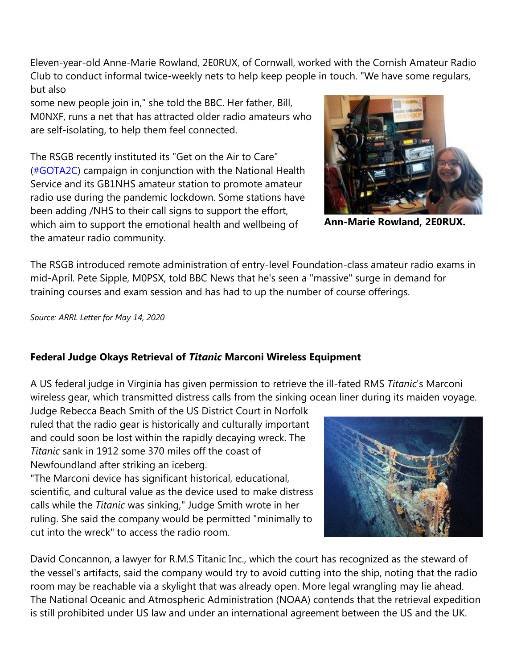Eleven-year-old Anne-Marie Rowland, 2E0RUX, of Cornwall, worked with the Cornish Amateur Radio Club to conduct informal twice-weekly nets to help keep people in touch. "We have some regulars, but also

some new people join in," she told the BBC. Her father, Bill, M0NXF, runs a net that has attracted older radio amateurs who are self-isolating, to help them feel connected.

The RSGB recently instituted its "Get on the Air to Care" [\(#GOTA2C\)](http://www.arrl.org/news/rsgb-aims-to-promote-health-and-wellbeing-within-the-amateur-radio-community) campaign in conjunction with the National Health Service and its GB1NHS amateur station to promote amateur radio use during the pandemic lockdown. Some stations have been adding /NHS to their call signs to support the effort, which aim to support the emotional health and wellbeing of the amateur radio community.



**Ann-Marie Rowland, 2E0RUX.**

The RSGB introduced remote administration of entry-level Foundation-class amateur radio exams in mid-April. Pete Sipple, M0PSX, told BBC News that he's seen a "massive" surge in demand for training courses and exam session and has had to up the number of course offerings.

*Source: ARRL Letter for May 14, 2020*

## **Federal Judge Okays Retrieval of** *Titanic* **Marconi Wireless Equipment**

A US federal judge in Virginia has given permission to retrieve the ill-fated RMS *Titanic*'s Marconi wireless gear, which transmitted distress calls from the sinking ocean liner during its maiden voyage.

Judge Rebecca Beach Smith of the US District Court in Norfolk ruled that the radio gear is historically and culturally important and could soon be lost within the rapidly decaying wreck. The *Titanic* sank in 1912 some 370 miles off the coast of Newfoundland after striking an iceberg.

"The Marconi device has significant historical, educational, scientific, and cultural value as the device used to make distress calls while the *Titanic* was sinking," Judge Smith wrote in her ruling. She said the company would be permitted "minimally to cut into the wreck" to access the radio room.

David Concannon, a lawyer for R.M.S Titanic Inc., which the court has recognized as the steward of the vessel's artifacts, said the company would try to avoid cutting into the ship, noting that the radio room may be reachable via a skylight that was already open. More legal wrangling may lie ahead. The National Oceanic and Atmospheric Administration (NOAA) contends that the retrieval expedition is still prohibited under US law and under an international agreement between the US and the UK.

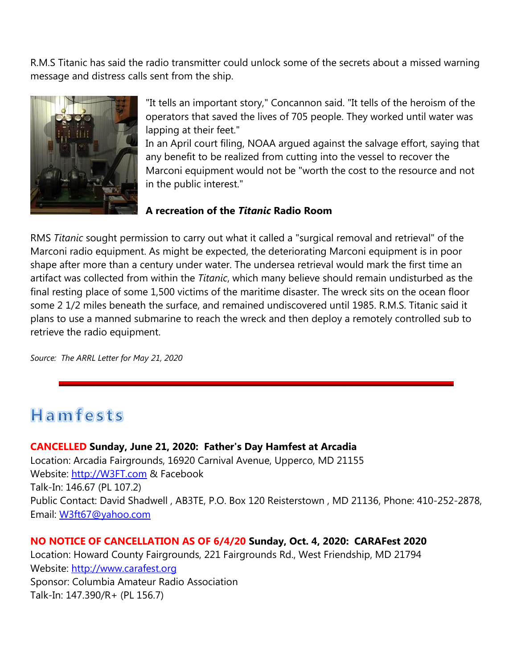R.M.S Titanic has said the radio transmitter could unlock some of the secrets about a missed warning message and distress calls sent from the ship.



"It tells an important story," Concannon said. "It tells of the heroism of the operators that saved the lives of 705 people. They worked until water was lapping at their feet."

In an April court filing, NOAA argued against the salvage effort, saying that any benefit to be realized from cutting into the vessel to recover the Marconi equipment would not be "worth the cost to the resource and not in the public interest."

## **A recreation of the** *Titanic* **Radio Room**

RMS *Titanic* sought permission to carry out what it called a "surgical removal and retrieval" of the Marconi radio equipment. As might be expected, the deteriorating Marconi equipment is in poor shape after more than a century under water. The undersea retrieval would mark the first time an artifact was collected from within the *Titanic*, which many believe should remain undisturbed as the final resting place of some 1,500 victims of the maritime disaster. The wreck sits on the ocean floor some 2 1/2 miles beneath the surface, and remained undiscovered until 1985. R.M.S. Titanic said it plans to use a manned submarine to reach the wreck and then deploy a remotely controlled sub to retrieve the radio equipment.

*Source: The ARRL Letter for May 21, 2020*

# **Hamfests**

## **CANCELLED Sunday, June 21, 2020: Father's Day Hamfest at Arcadia**

Location: Arcadia Fairgrounds, 16920 Carnival Avenue, Upperco, MD 21155 Website: [http://W3FT.com](http://w3ft.com/) & Facebook Talk-In: 146.67 (PL 107.2) Public Contact: David Shadwell , AB3TE, P.O. Box 120 Reisterstown , MD 21136, Phone: 410-252-2878, Email: [W3ft67@yahoo.com](mailto:W3ft67@yahoo.com)

## **NO NOTICE OF CANCELLATION AS OF 6/4/20 Sunday, Oct. 4, 2020: CARAFest 2020**

Location: Howard County Fairgrounds, 221 Fairgrounds Rd., West Friendship, MD 21794 Website: [http://www.carafest.org](http://www.carafest.org/) Sponsor: Columbia Amateur Radio Association Talk-In: 147.390/R+ (PL 156.7)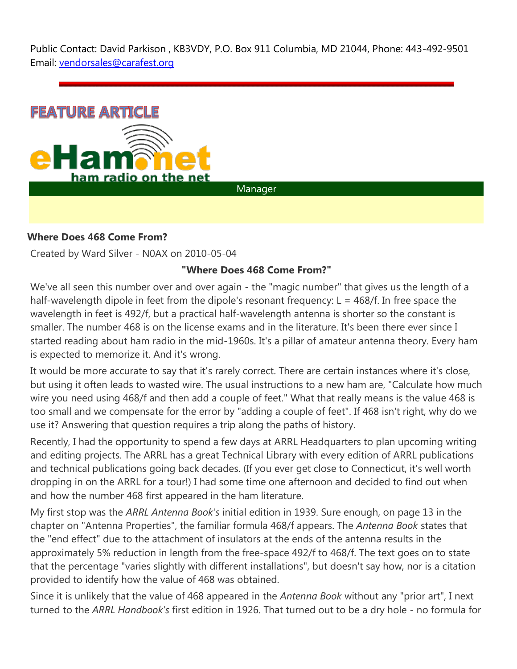Public Contact: David Parkison , KB3VDY, P.O. Box 911 Columbia, MD 21044, Phone: 443-492-9501 Email: [vendorsales@carafest.org](mailto:vendorsales@carafest.org)



Manager

## **Where Does 468 Come From?**

Created by Ward Silver - N0AX on 2010-05-04

## **"Where Does 468 Come From?"**

We've all seen this number over and over again - the "magic number" that gives us the length of a half-wavelength dipole in feet from the dipole's resonant frequency:  $L = 468/f$ . In free space the wavelength in feet is 492/f, but a practical half-wavelength antenna is shorter so the constant is smaller. The number 468 is on the license exams and in the literature. It's been there ever since I started reading about ham radio in the mid-1960s. It's a pillar of amateur antenna theory. Every ham is expected to memorize it. And it's wrong.

It would be more accurate to say that it's rarely correct. There are certain instances where it's close, but using it often leads to wasted wire. The usual instructions to a new ham are, "Calculate how much wire you need using 468/f and then add a couple of feet." What that really means is the value 468 is too small and we compensate for the error by "adding a couple of feet". If 468 isn't right, why do we use it? Answering that question requires a trip along the paths of history.

Recently, I had the opportunity to spend a few days at ARRL Headquarters to plan upcoming writing and editing projects. The ARRL has a great Technical Library with every edition of ARRL publications and technical publications going back decades. (If you ever get close to Connecticut, it's well worth dropping in on the ARRL for a tour!) I had some time one afternoon and decided to find out when and how the number 468 first appeared in the ham literature.

My first stop was the *ARRL Antenna Book's* initial edition in 1939. Sure enough, on page 13 in the chapter on "Antenna Properties", the familiar formula 468/f appears. The *Antenna Book* states that the "end effect" due to the attachment of insulators at the ends of the antenna results in the approximately 5% reduction in length from the free-space 492/f to 468/f. The text goes on to state that the percentage "varies slightly with different installations", but doesn't say how, nor is a citation provided to identify how the value of 468 was obtained.

Since it is unlikely that the value of 468 appeared in the *Antenna Book* without any "prior art", I next turned to the *ARRL Handbook's* first edition in 1926. That turned out to be a dry hole - no formula for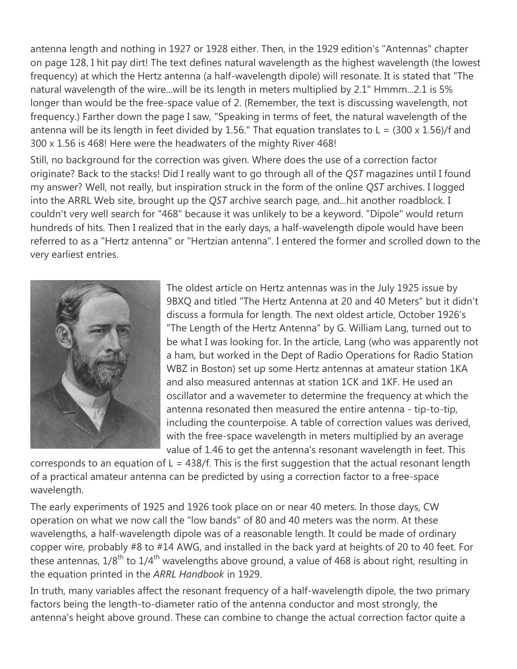antenna length and nothing in 1927 or 1928 either. Then, in the 1929 edition's "Antennas" chapter on page 128, I hit pay dirt! The text defines natural wavelength as the highest wavelength (the lowest frequency) at which the Hertz antenna (a half-wavelength dipole) will resonate. It is stated that "The natural wavelength of the wire...will be its length in meters multiplied by 2.1" Hmmm...2.1 is 5% longer than would be the free-space value of 2. (Remember, the text is discussing wavelength, not frequency.) Farther down the page I saw, "Speaking in terms of feet, the natural wavelength of the antenna will be its length in feet divided by 1.56." That equation translates to  $L = (300 \times 1.56)/f$  and 300 x 1.56 is 468! Here were the headwaters of the mighty River 468!

Still, no background for the correction was given. Where does the use of a correction factor originate? Back to the stacks! Did I really want to go through all of the *QST* magazines until I found my answer? Well, not really, but inspiration struck in the form of the online *QST* archives. I logged into the ARRL Web site, brought up the *QST* archive search page, and...hit another roadblock. I couldn't very well search for "468" because it was unlikely to be a keyword. "Dipole" would return hundreds of hits. Then I realized that in the early days, a half-wavelength dipole would have been referred to as a "Hertz antenna" or "Hertzian antenna". I entered the former and scrolled down to the very earliest entries.



The oldest article on Hertz antennas was in the July 1925 issue by 9BXQ and titled "The Hertz Antenna at 20 and 40 Meters" but it didn't discuss a formula for length. The next oldest article, October 1926's "The Length of the Hertz Antenna" by G. William Lang, turned out to be what I was looking for. In the article, Lang (who was apparently not a ham, but worked in the Dept of Radio Operations for Radio Station WBZ in Boston) set up some Hertz antennas at amateur station 1KA and also measured antennas at station 1CK and 1KF. He used an oscillator and a wavemeter to determine the frequency at which the antenna resonated then measured the entire antenna - tip-to-tip, including the counterpoise. A table of correction values was derived, with the free-space wavelength in meters multiplied by an average value of 1.46 to get the antenna's resonant wavelength in feet. This

corresponds to an equation of  $L = 438/f$ . This is the first suggestion that the actual resonant length of a practical amateur antenna can be predicted by using a correction factor to a free-space wavelength.

The early experiments of 1925 and 1926 took place on or near 40 meters. In those days, CW operation on what we now call the "low bands" of 80 and 40 meters was the norm. At these wavelengths, a half-wavelength dipole was of a reasonable length. It could be made of ordinary copper wire, probably #8 to #14 AWG, and installed in the back yard at heights of 20 to 40 feet. For these antennas,  $1/8^{\text{th}}$  to  $1/4^{\text{th}}$  wavelengths above ground, a value of 468 is about right, resulting in the equation printed in the *ARRL Handbook* in 1929.

In truth, many variables affect the resonant frequency of a half-wavelength dipole, the two primary factors being the length-to-diameter ratio of the antenna conductor and most strongly, the antenna's height above ground. These can combine to change the actual correction factor quite a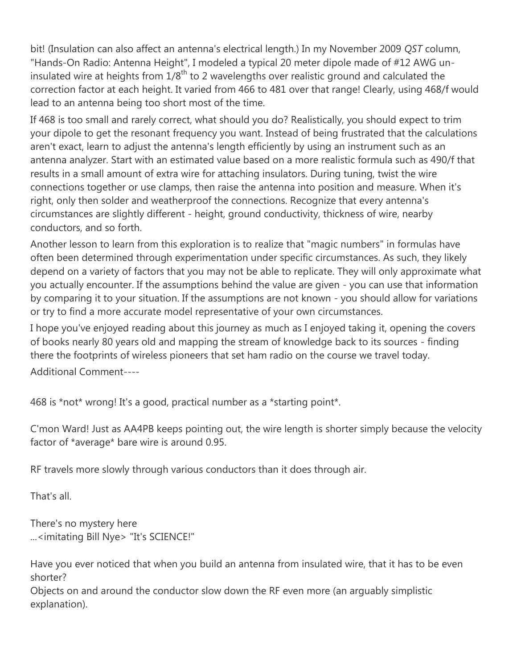bit! (Insulation can also affect an antenna's electrical length.) In my November 2009 *QST* column, "Hands-On Radio: Antenna Height", I modeled a typical 20 meter dipole made of #12 AWG uninsulated wire at heights from  $1/8<sup>th</sup>$  to 2 wavelengths over realistic ground and calculated the correction factor at each height. It varied from 466 to 481 over that range! Clearly, using 468/f would lead to an antenna being too short most of the time.

If 468 is too small and rarely correct, what should you do? Realistically, you should expect to trim your dipole to get the resonant frequency you want. Instead of being frustrated that the calculations aren't exact, learn to adjust the antenna's length efficiently by using an instrument such as an antenna analyzer. Start with an estimated value based on a more realistic formula such as 490/f that results in a small amount of extra wire for attaching insulators. During tuning, twist the wire connections together or use clamps, then raise the antenna into position and measure. When it's right, only then solder and weatherproof the connections. Recognize that every antenna's circumstances are slightly different - height, ground conductivity, thickness of wire, nearby conductors, and so forth.

Another lesson to learn from this exploration is to realize that "magic numbers" in formulas have often been determined through experimentation under specific circumstances. As such, they likely depend on a variety of factors that you may not be able to replicate. They will only approximate what you actually encounter. If the assumptions behind the value are given - you can use that information by comparing it to your situation. If the assumptions are not known - you should allow for variations or try to find a more accurate model representative of your own circumstances.

I hope you've enjoyed reading about this journey as much as I enjoyed taking it, opening the covers of books nearly 80 years old and mapping the stream of knowledge back to its sources - finding there the footprints of wireless pioneers that set ham radio on the course we travel today.

Additional Comment----

468 is \*not\* wrong! It's a good, practical number as a \*starting point\*.

C'mon Ward! Just as AA4PB keeps pointing out, the wire length is shorter simply because the velocity factor of \*average\* bare wire is around 0.95.

RF travels more slowly through various conductors than it does through air.

That's all.

There's no mystery here ...<imitating Bill Nye> "It's SCIENCE!"

Have you ever noticed that when you build an antenna from insulated wire, that it has to be even shorter?

Objects on and around the conductor slow down the RF even more (an arguably simplistic explanation).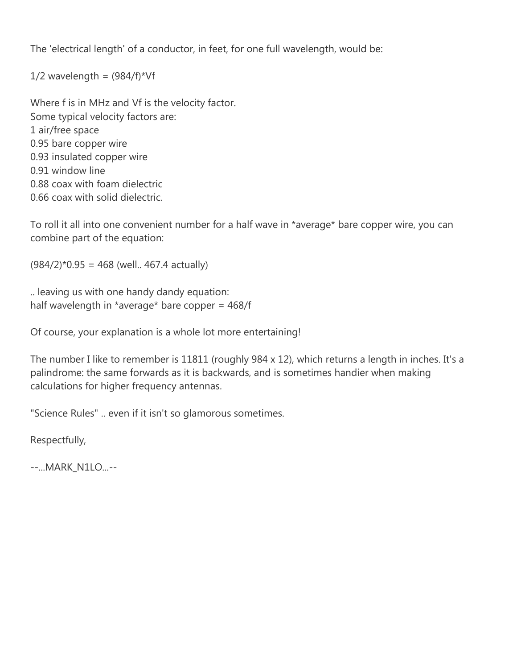The 'electrical length' of a conductor, in feet, for one full wavelength, would be:

 $1/2$  wavelength =  $(984/f)^*Vf$ 

Where f is in MHz and Vf is the velocity factor. Some typical velocity factors are: 1 air/free space 0.95 bare copper wire 0.93 insulated copper wire 0.91 window line 0.88 coax with foam dielectric 0.66 coax with solid dielectric.

To roll it all into one convenient number for a half wave in \*average\* bare copper wire, you can combine part of the equation:

 $(984/2)*0.95 = 468$  (well.. 467.4 actually)

.. leaving us with one handy dandy equation: half wavelength in \*average\* bare copper =  $468/f$ 

Of course, your explanation is a whole lot more entertaining!

The number I like to remember is 11811 (roughly 984 x 12), which returns a length in inches. It's a palindrome: the same forwards as it is backwards, and is sometimes handier when making calculations for higher frequency antennas.

"Science Rules" .. even if it isn't so glamorous sometimes.

Respectfully,

--...MARK\_N1LO...--